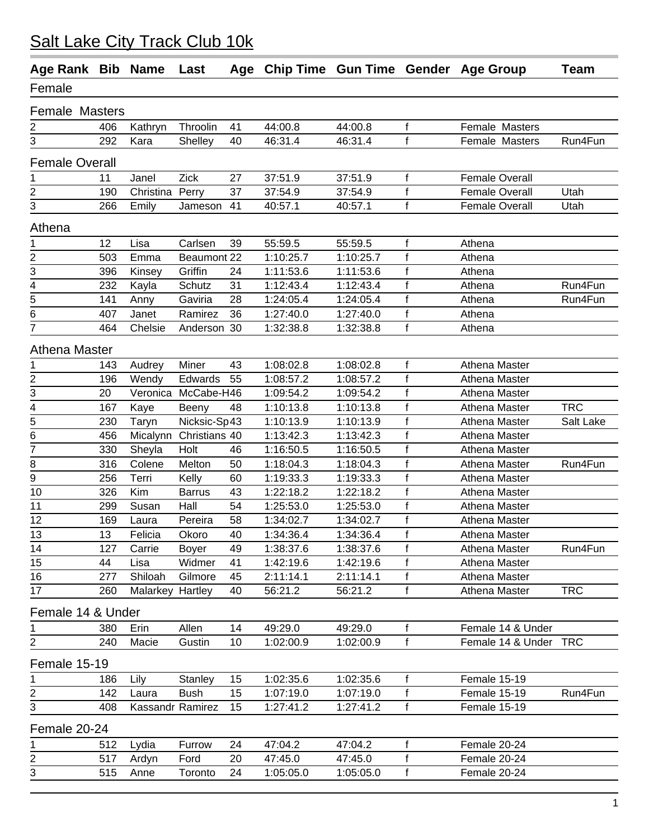| Age Rank Bib          |     | <b>Name</b>             | Last                | Age |           |           |              | Chip Time Gun Time Gender Age Group | <b>Team</b> |
|-----------------------|-----|-------------------------|---------------------|-----|-----------|-----------|--------------|-------------------------------------|-------------|
| Female                |     |                         |                     |     |           |           |              |                                     |             |
| <b>Female Masters</b> |     |                         |                     |     |           |           |              |                                     |             |
| 2                     | 406 | Kathryn                 | Throolin            | 41  | 44:00.8   | 44:00.8   | $\mathsf f$  | Female Masters                      |             |
| 3                     | 292 | Kara                    | Shelley             | 40  | 46:31.4   | 46:31.4   | $\mathbf f$  | Female Masters                      | Run4Fun     |
| <b>Female Overall</b> |     |                         |                     |     |           |           |              |                                     |             |
| 1                     | 11  | Janel                   | Zick                | 27  | 37:51.9   | 37:51.9   | $\mathsf f$  | <b>Female Overall</b>               |             |
| 2                     | 190 | Christina Perry         |                     | 37  | 37:54.9   | 37:54.9   | f            | <b>Female Overall</b>               | Utah        |
| 3                     | 266 | Emily                   | Jameson             | 41  | 40:57.1   | 40:57.1   | $\mathsf f$  | <b>Female Overall</b>               | Utah        |
| Athena                |     |                         |                     |     |           |           |              |                                     |             |
| 1                     | 12  | Lisa                    | Carlsen             | 39  | 55:59.5   | 55:59.5   | f            | Athena                              |             |
| 2                     | 503 | Emma                    | Beaumont 22         |     | 1:10:25.7 | 1:10:25.7 | $\mathsf f$  | Athena                              |             |
| 3                     | 396 | Kinsey                  | Griffin             | 24  | 1:11:53.6 | 1:11:53.6 | $\mathsf f$  | Athena                              |             |
| 4                     | 232 | Kayla                   | Schutz              | 31  | 1:12:43.4 | 1:12:43.4 | $\mathsf f$  | Athena                              | Run4Fun     |
| 5                     | 141 | Anny                    | Gaviria             | 28  | 1:24:05.4 | 1:24:05.4 | $\mathsf f$  | Athena                              | Run4Fun     |
| 6                     | 407 | Janet                   | Ramirez             | 36  | 1:27:40.0 | 1:27:40.0 | $\mathsf f$  | Athena                              |             |
| 7                     | 464 | Chelsie                 | Anderson 30         |     | 1:32:38.8 | 1:32:38.8 | $\mathsf{f}$ | Athena                              |             |
| Athena Master         |     |                         |                     |     |           |           |              |                                     |             |
| 1                     | 143 | Audrey                  | Miner               | 43  | 1:08:02.8 | 1:08:02.8 | $\mathsf f$  | Athena Master                       |             |
| 2                     | 196 | Wendy                   | Edwards             | 55  | 1:08:57.2 | 1:08:57.2 | $\mathsf f$  | Athena Master                       |             |
| 3                     | 20  |                         | Veronica McCabe-H46 |     | 1:09:54.2 | 1:09:54.2 | $\mathsf f$  | Athena Master                       |             |
| 4                     | 167 | Kaye                    | Beeny               | 48  | 1:10:13.8 | 1:10:13.8 | $\mathsf f$  | Athena Master                       | <b>TRC</b>  |
| 5                     | 230 | Taryn                   | Nicksic-Sp43        |     | 1:10:13.9 | 1:10:13.9 | $\mathsf f$  | Athena Master                       | Salt Lake   |
| 6                     | 456 | Micalynn                | Christians 40       |     | 1:13:42.3 | 1:13:42.3 | $\mathsf f$  | Athena Master                       |             |
| $\overline{7}$        | 330 | Sheyla                  | Holt                | 46  | 1:16:50.5 | 1:16:50.5 | $\mathsf f$  | Athena Master                       |             |
| 8                     | 316 | Colene                  | Melton              | 50  | 1:18:04.3 | 1:18:04.3 | $\mathsf f$  | Athena Master                       | Run4Fun     |
| 9                     | 256 | Terri                   | Kelly               | 60  | 1:19:33.3 | 1:19:33.3 | $\mathsf f$  | Athena Master                       |             |
| 10                    | 326 | Kim                     | <b>Barrus</b>       | 43  | 1:22:18.2 | 1:22:18.2 | $\mathsf f$  | Athena Master                       |             |
| 11                    | 299 | Susan                   | Hall                | 54  | 1:25:53.0 | 1:25:53.0 | f            | Athena Master                       |             |
| 12                    | 169 | Laura                   | Pereira             | 58  | 1:34:02.7 | 1:34:02.7 | $\mathsf f$  | Athena Master                       |             |
| 13                    | 13  | Felicia                 | Okoro               | 40  | 1:34:36.4 | 1:34:36.4 | $\mathsf f$  | Athena Master                       |             |
| 14                    | 127 | Carrie                  | Boyer               | 49  | 1:38:37.6 | 1:38:37.6 | f            | Athena Master                       | Run4Fun     |
| 15                    | 44  | Lisa                    | Widmer              | 41  | 1:42:19.6 | 1:42:19.6 | $\mathsf f$  | Athena Master                       |             |
| 16                    | 277 | Shiloah                 | Gilmore             | 45  | 2:11:14.1 | 2:11:14.1 | $\mathsf f$  | Athena Master                       |             |
| 17                    | 260 | Malarkey Hartley        |                     | 40  | 56:21.2   | 56:21.2   | $\mathsf f$  | Athena Master                       | <b>TRC</b>  |
| Female 14 & Under     |     |                         |                     |     |           |           |              |                                     |             |
| 1                     | 380 | Erin                    | Allen               | 14  | 49:29.0   | 49:29.0   | $\mathsf f$  | Female 14 & Under                   |             |
| $\overline{c}$        | 240 | Macie                   | Gustin              | 10  | 1:02:00.9 | 1:02:00.9 | $\mathsf f$  | Female 14 & Under TRC               |             |
| Female 15-19          |     |                         |                     |     |           |           |              |                                     |             |
| 1                     | 186 | Lily                    | Stanley             | 15  | 1:02:35.6 | 1:02:35.6 | $\mathsf{f}$ | Female 15-19                        |             |
| 2                     | 142 | Laura                   | <b>Bush</b>         | 15  | 1:07:19.0 | 1:07:19.0 | $\mathsf f$  | Female 15-19                        | Run4Fun     |
| 3                     | 408 | <b>Kassandr Ramirez</b> |                     | 15  | 1:27:41.2 | 1:27:41.2 | $\mathsf{f}$ | Female 15-19                        |             |
| Female 20-24          |     |                         |                     |     |           |           |              |                                     |             |
| 1                     | 512 | Lydia                   | Furrow              | 24  | 47:04.2   | 47:04.2   | $\mathsf f$  | Female 20-24                        |             |
| $\overline{2}$        | 517 | Ardyn                   | Ford                | 20  | 47:45.0   | 47:45.0   | f            | Female 20-24                        |             |
| $\sqrt{3}$            | 515 | Anne                    | Toronto             | 24  | 1:05:05.0 | 1:05:05.0 | f            | Female 20-24                        |             |
|                       |     |                         |                     |     |           |           |              |                                     |             |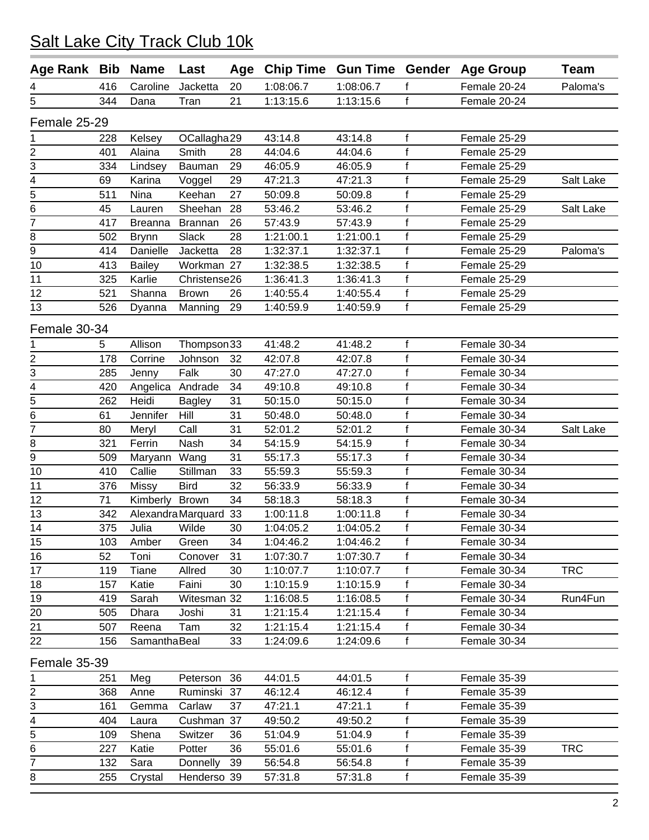| Age Rank Bib   |     | <b>Name</b>    | Last                  |    |           |           |              | Age Chip Time Gun Time Gender Age Group | <b>Team</b> |
|----------------|-----|----------------|-----------------------|----|-----------|-----------|--------------|-----------------------------------------|-------------|
| 4              | 416 | Caroline       | Jacketta              | 20 | 1:08:06.7 | 1:08:06.7 | f            | Female 20-24                            | Paloma's    |
| 5              | 344 | Dana           | Tran                  | 21 | 1:13:15.6 | 1:13:15.6 | f            | Female 20-24                            |             |
| Female 25-29   |     |                |                       |    |           |           |              |                                         |             |
| 1              | 228 | Kelsey         | OCallagha29           |    | 43:14.8   | 43:14.8   | $\mathbf f$  | Female 25-29                            |             |
| $\overline{2}$ | 401 | Alaina         | Smith                 | 28 | 44:04.6   | 44:04.6   | $\mathsf{f}$ | Female 25-29                            |             |
| 3              | 334 | Lindsey        | Bauman                | 29 | 46:05.9   | 46:05.9   | $\mathsf f$  | Female 25-29                            |             |
| 4              | 69  | Karina         | Voggel                | 29 | 47:21.3   | 47:21.3   | $\mathbf{f}$ | Female 25-29                            | Salt Lake   |
| 5              | 511 | Nina           | Keehan                | 27 | 50:09.8   | 50:09.8   | $\mathsf f$  | Female 25-29                            |             |
| 6              | 45  | Lauren         | Sheehan               | 28 | 53:46.2   | 53:46.2   | $\mathsf f$  | Female 25-29                            | Salt Lake   |
| $\overline{7}$ | 417 | <b>Breanna</b> | <b>Brannan</b>        | 26 | 57:43.9   | 57:43.9   | f            | Female 25-29                            |             |
| 8              | 502 | <b>Brynn</b>   | Slack                 | 28 | 1:21:00.1 | 1:21:00.1 | f            | Female 25-29                            |             |
| 9              | 414 | Danielle       | Jacketta              | 28 | 1:32:37.1 | 1:32:37.1 | f            | Female 25-29                            | Paloma's    |
| 10             | 413 | <b>Bailey</b>  | Workman 27            |    | 1:32:38.5 | 1:32:38.5 | $\mathsf f$  | Female 25-29                            |             |
| 11             | 325 | Karlie         | Christense26          |    | 1:36:41.3 | 1:36:41.3 | $\mathsf f$  | Female 25-29                            |             |
| 12             | 521 | Shanna         | <b>Brown</b>          | 26 | 1:40:55.4 | 1:40:55.4 | f            | Female 25-29                            |             |
| 13             | 526 | Dyanna         | Manning               | 29 | 1:40:59.9 | 1:40:59.9 | f            | Female 25-29                            |             |
| Female 30-34   |     |                |                       |    |           |           |              |                                         |             |
| 1              | 5   | Allison        | Thompson33            |    | 41:48.2   | 41:48.2   | $\mathsf{f}$ | Female 30-34                            |             |
| 2              | 178 | Corrine        | Johnson               | 32 | 42:07.8   | 42:07.8   | f            | Female 30-34                            |             |
| 3              | 285 | Jenny          | Falk                  | 30 | 47:27.0   | 47:27.0   | $\mathsf f$  | Female 30-34                            |             |
| 4              | 420 | Angelica       | Andrade               | 34 | 49:10.8   | 49:10.8   | $\mathsf{f}$ | Female 30-34                            |             |
| $\overline{5}$ | 262 | Heidi          | <b>Bagley</b>         | 31 | 50:15.0   | 50:15.0   | $\mathsf f$  | Female 30-34                            |             |
| $\overline{6}$ | 61  | Jennifer       | Hill                  | 31 | 50:48.0   | 50:48.0   | f            | Female 30-34                            |             |
| $\overline{7}$ | 80  | Meryl          | Call                  | 31 | 52:01.2   | 52:01.2   | $\mathsf f$  | Female 30-34                            | Salt Lake   |
| 8              | 321 | Ferrin         | Nash                  | 34 | 54:15.9   | 54:15.9   | $\mathsf f$  | Female 30-34                            |             |
| $\overline{9}$ | 509 | Maryann        | Wang                  | 31 | 55:17.3   | 55:17.3   | $\mathsf f$  | Female 30-34                            |             |
| 10             | 410 | Callie         | Stillman              | 33 | 55:59.3   | 55:59.3   | $\mathsf f$  | Female 30-34                            |             |
| 11             | 376 | Missy          | <b>Bird</b>           | 32 | 56:33.9   | 56:33.9   | $\mathsf f$  | Female 30-34                            |             |
| 12             | 71  | Kimberly       | <b>Brown</b>          | 34 | 58:18.3   | 58:18.3   | $\mathsf{f}$ | Female 30-34                            |             |
| 13             | 342 |                | Alexandra Marquard 33 |    | 1:00:11.8 | 1:00:11.8 | f            | Female 30-34                            |             |
| 14             | 375 | Julia          | Wilde                 | 30 | 1:04:05.2 | 1:04:05.2 | f            | Female 30-34                            |             |
| 15             | 103 | Amber          | Green                 | 34 | 1:04:46.2 | 1:04:46.2 | f            | Female 30-34                            |             |
| 16             | 52  | Toni           | Conover               | 31 | 1:07:30.7 | 1:07:30.7 | f            | Female 30-34                            |             |
| 17             | 119 | Tiane          | Allred                | 30 | 1:10:07.7 | 1:10:07.7 | $\mathsf f$  | Female 30-34                            | <b>TRC</b>  |
| 18             | 157 | Katie          | Faini                 | 30 | 1:10:15.9 | 1:10:15.9 | f            | Female 30-34                            |             |
| 19             | 419 | Sarah          | Witesman 32           |    | 1:16:08.5 | 1:16:08.5 | $\mathsf f$  | Female 30-34                            | Run4Fun     |
| 20             | 505 | Dhara          | Joshi                 | 31 | 1:21:15.4 | 1:21:15.4 | f            | Female 30-34                            |             |
| 21             | 507 | Reena          | Tam                   | 32 | 1:21:15.4 | 1:21:15.4 | $\mathsf f$  | Female 30-34                            |             |
| 22             | 156 | SamanthaBeal   |                       | 33 | 1:24:09.6 | 1:24:09.6 | f            | Female 30-34                            |             |
| Female 35-39   |     |                |                       |    |           |           |              |                                         |             |
| $\mathbf 1$    | 251 | Meg            | Peterson              | 36 | 44:01.5   | 44:01.5   | f            | Female 35-39                            |             |
| 2              | 368 | Anne           | Ruminski              | 37 | 46:12.4   | 46:12.4   | f            | Female 35-39                            |             |
| 3              | 161 | Gemma          | Carlaw                | 37 | 47:21.1   | 47:21.1   | f            | Female 35-39                            |             |
| 4              | 404 | Laura          | Cushman 37            |    | 49:50.2   | 49:50.2   | f            | Female 35-39                            |             |
| 5              | 109 | Shena          | Switzer               | 36 | 51:04.9   | 51:04.9   | f            | Female 35-39                            |             |
| 6              | 227 | Katie          | Potter                | 36 | 55:01.6   | 55:01.6   | f            | Female 35-39                            | <b>TRC</b>  |
| 7              | 132 | Sara           | Donnelly              | 39 | 56:54.8   | 56:54.8   | $\mathsf f$  | Female 35-39                            |             |
| 8              | 255 | Crystal        | Henderso 39           |    | 57:31.8   | 57:31.8   | $\mathsf f$  | Female 35-39                            |             |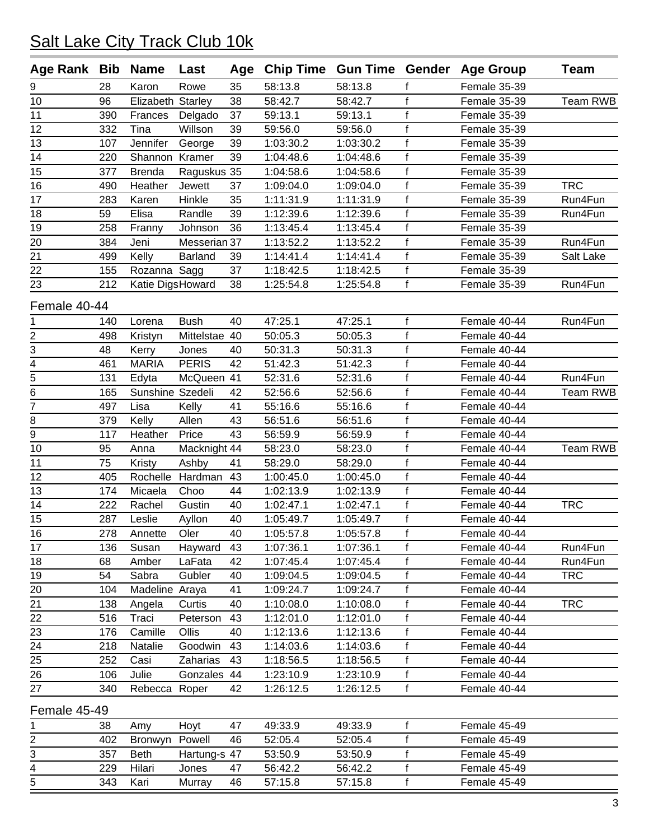| Age Rank Bib        |     | <b>Name</b>       | Last           |    |           |           |                   | Age Chip Time Gun Time Gender Age Group | <b>Team</b> |
|---------------------|-----|-------------------|----------------|----|-----------|-----------|-------------------|-----------------------------------------|-------------|
| 9                   | 28  | Karon             | Rowe           | 35 | 58:13.8   | 58:13.8   |                   | Female 35-39                            |             |
| 10                  | 96  | Elizabeth Starley |                | 38 | 58:42.7   | 58:42.7   | f                 | Female 35-39                            | Team RWB    |
| 11                  | 390 | Frances           | Delgado        | 37 | 59:13.1   | 59:13.1   | f                 | Female 35-39                            |             |
| 12                  | 332 | Tina              | Willson        | 39 | 59:56.0   | 59:56.0   | f                 | Female 35-39                            |             |
| 13                  | 107 | Jennifer          | George         | 39 | 1:03:30.2 | 1:03:30.2 | $\mathsf f$       | Female 35-39                            |             |
| 14                  | 220 | Shannon Kramer    |                | 39 | 1:04:48.6 | 1:04:48.6 | $\mathbf{f}$      | Female 35-39                            |             |
| 15                  | 377 | <b>Brenda</b>     | Raguskus 35    |    | 1:04:58.6 | 1:04:58.6 | $\mathbf{f}$      | Female 35-39                            |             |
| 16                  | 490 | Heather           | Jewett         | 37 | 1:09:04.0 | 1:09:04.0 | f                 | Female 35-39                            | <b>TRC</b>  |
| 17                  | 283 | Karen             | Hinkle         | 35 | 1:11:31.9 | 1:11:31.9 | $\mathbf{f}$      | Female 35-39                            | Run4Fun     |
| 18                  | 59  | Elisa             | Randle         | 39 | 1:12:39.6 | 1:12:39.6 | $\mathbf{f}$      | Female 35-39                            | Run4Fun     |
| 19                  | 258 | Franny            | Johnson        | 36 | 1:13:45.4 | 1:13:45.4 | $\mathsf{f}$      | Female 35-39                            |             |
| 20                  | 384 | Jeni              | Messerian 37   |    | 1:13:52.2 | 1:13:52.2 | f                 | Female 35-39                            | Run4Fun     |
| 21                  | 499 | Kelly             | <b>Barland</b> | 39 | 1:14:41.4 | 1:14:41.4 | f                 | Female 35-39                            | Salt Lake   |
| 22                  | 155 | Rozanna Sagg      |                | 37 | 1:18:42.5 | 1:18:42.5 | $\mathsf f$       | Female 35-39                            |             |
| 23                  | 212 | Katie DigsHoward  |                | 38 | 1:25:54.8 | 1:25:54.8 | f                 | Female 35-39                            | Run4Fun     |
| Female 40-44        |     |                   |                |    |           |           |                   |                                         |             |
|                     | 140 | Lorena            | <b>Bush</b>    | 40 | 47:25.1   | 47:25.1   | f                 | Female 40-44                            | Run4Fun     |
| 1                   | 498 |                   | Mittelstae 40  |    | 50:05.3   | 50:05.3   | $\mathbf{f}$      | Female 40-44                            |             |
| 2                   | 48  | Kristyn           |                | 40 | 50:31.3   | 50:31.3   | f                 | Female 40-44                            |             |
| 3                   |     | Kerry             | Jones          | 42 |           |           | $\mathsf{f}$      |                                         |             |
| 4<br>$\overline{5}$ | 461 | <b>MARIA</b>      | <b>PERIS</b>   |    | 51:42.3   | 51:42.3   | f                 | Female 40-44                            |             |
|                     | 131 | Edyta             | McQueen 41     |    | 52:31.6   | 52:31.6   |                   | Female 40-44                            | Run4Fun     |
| 6<br>7              | 165 | Sunshine Szedeli  |                | 42 | 52:56.6   | 52:56.6   | f<br>$\mathsf{f}$ | Female 40-44                            | Team RWB    |
|                     | 497 | Lisa              | Kelly          | 41 | 55:16.6   | 55:16.6   | $\mathsf{f}$      | Female 40-44                            |             |
| 8                   | 379 | Kelly             | Allen          | 43 | 56:51.6   | 56:51.6   |                   | Female 40-44                            |             |
| 9                   | 117 | Heather           | Price          | 43 | 56:59.9   | 56:59.9   | f                 | Female 40-44                            |             |
| 10                  | 95  | Anna              | Macknight 44   |    | 58:23.0   | 58:23.0   | $\mathsf f$       | Female 40-44                            | Team RWB    |
| 11                  | 75  | Kristy            | Ashby          | 41 | 58:29.0   | 58:29.0   | $\mathbf{f}$      | Female 40-44                            |             |
| 12                  | 405 | Rochelle          | Hardman        | 43 | 1:00:45.0 | 1:00:45.0 | $\mathsf f$       | Female 40-44                            |             |
| 13                  | 174 | Micaela           | Choo           | 44 | 1:02:13.9 | 1:02:13.9 | f                 | Female 40-44                            |             |
| 14                  | 222 | Rachel            | Gustin         | 40 | 1:02:47.1 | 1:02:47.1 | $\mathbf{f}$      | Female 40-44                            | <b>TRC</b>  |
| 15                  | 287 | Leslie            | Ayllon         | 40 | 1:05:49.7 | 1:05:49.7 | f                 | Female 40-44                            |             |
| 16                  | 278 | Annette           | Oler           | 40 | 1:05:57.8 | 1:05:57.8 | $\mathsf f$       | Female 40-44                            |             |
| 17                  | 136 | Susan             | Hayward        | 43 | 1:07:36.1 | 1:07:36.1 | f                 | Female 40-44                            | Run4Fun     |
| 18                  | 68  | Amber             | LaFata         | 42 | 1:07:45.4 | 1:07:45.4 | f                 | Female 40-44                            | Run4Fun     |
| 19                  | 54  | Sabra             | Gubler         | 40 | 1:09:04.5 | 1:09:04.5 | f                 | Female 40-44                            | <b>TRC</b>  |
| 20                  | 104 | Madeline Araya    |                | 41 | 1:09:24.7 | 1:09:24.7 | f                 | Female 40-44                            |             |
| 21                  | 138 | Angela            | Curtis         | 40 | 1:10:08.0 | 1:10:08.0 | $\mathsf f$       | Female 40-44                            | <b>TRC</b>  |
| 22                  | 516 | Traci             | Peterson       | 43 | 1:12:01.0 | 1:12:01.0 | f                 | Female 40-44                            |             |
| 23                  | 176 | Camille           | Ollis          | 40 | 1:12:13.6 | 1:12:13.6 | f                 | Female 40-44                            |             |
| $\frac{24}{1}$      | 218 | Natalie           | Goodwin        | 43 | 1:14:03.6 | 1:14:03.6 | f                 | Female 40-44                            |             |
| 25                  | 252 | Casi              | Zaharias       | 43 | 1:18:56.5 | 1:18:56.5 | f                 | Female 40-44                            |             |
| 26                  | 106 | Julie             | Gonzales 44    |    | 1:23:10.9 | 1:23:10.9 | f                 | Female 40-44                            |             |
| 27                  | 340 | Rebecca Roper     |                | 42 | 1:26:12.5 | 1:26:12.5 | f                 | Female 40-44                            |             |
| Female 45-49        |     |                   |                |    |           |           |                   |                                         |             |
| 1                   | 38  | Amy               | Hoyt           | 47 | 49:33.9   | 49:33.9   | f                 | Female 45-49                            |             |
| 2                   | 402 | Bronwyn           | Powell         | 46 | 52:05.4   | 52:05.4   | f                 | Female 45-49                            |             |
| 3                   | 357 | <b>Beth</b>       | Hartung-s 47   |    | 53:50.9   | 53:50.9   | f                 | Female 45-49                            |             |
| 4                   | 229 | Hilari            | Jones          | 47 | 56:42.2   | 56:42.2   | f                 | Female 45-49                            |             |
| 5                   | 343 | Kari              | Murray         | 46 | 57:15.8   | 57:15.8   | f                 | Female 45-49                            |             |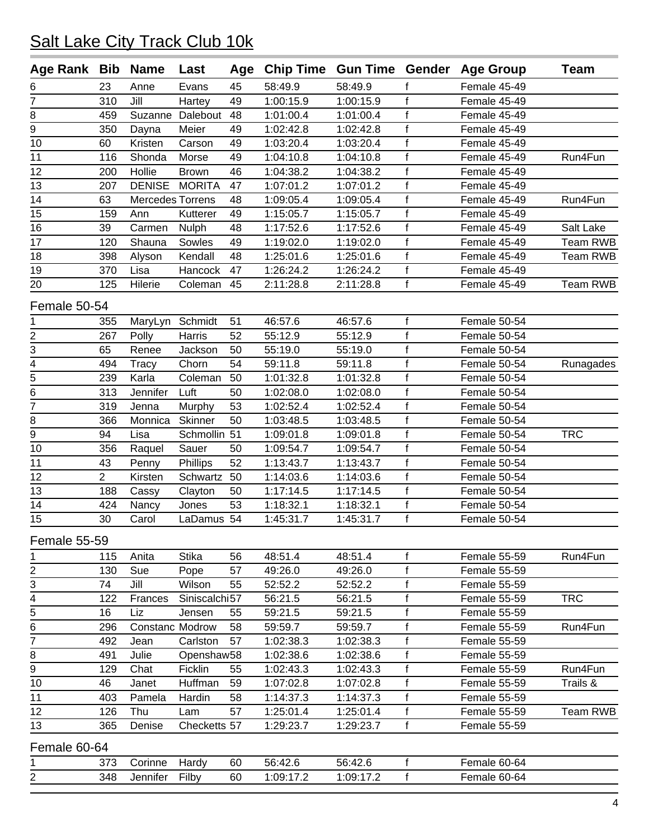| Age Rank Bib                     |                | <b>Name</b>            | Last             | Age | <b>Chip Time Gun Time Gender</b> |           |              | <b>Age Group</b> | <b>Team</b> |
|----------------------------------|----------------|------------------------|------------------|-----|----------------------------------|-----------|--------------|------------------|-------------|
| 6                                | 23             | Anne                   | Evans            | 45  | 58:49.9                          | 58:49.9   | f            | Female 45-49     |             |
| 7                                | 310            | Jill                   | Hartey           | 49  | 1:00:15.9                        | 1:00:15.9 | $\mathsf{f}$ | Female 45-49     |             |
| 8                                | 459            |                        | Suzanne Dalebout | 48  | 1:01:00.4                        | 1:01:00.4 | $\mathbf{f}$ | Female 45-49     |             |
| $\overline{9}$                   | 350            | Dayna                  | Meier            | 49  | 1:02:42.8                        | 1:02:42.8 | $\mathsf f$  | Female 45-49     |             |
| 10                               | 60             | Kristen                | Carson           | 49  | 1:03:20.4                        | 1:03:20.4 | $\mathsf{f}$ | Female 45-49     |             |
| 11                               | 116            | Shonda                 | Morse            | 49  | 1:04:10.8                        | 1:04:10.8 | $\mathbf{f}$ | Female 45-49     | Run4Fun     |
| 12                               | 200            | Hollie                 | <b>Brown</b>     | 46  | 1:04:38.2                        | 1:04:38.2 | $\mathbf{f}$ | Female 45-49     |             |
| 13                               | 207            | <b>DENISE</b>          | <b>MORITA</b>    | 47  | 1:07:01.2                        | 1:07:01.2 | $\mathbf{f}$ | Female 45-49     |             |
| 14                               | 63             | Mercedes Torrens       |                  | 48  | 1:09:05.4                        | 1:09:05.4 | $\mathsf f$  | Female 45-49     | Run4Fun     |
| 15                               | 159            | Ann                    | Kutterer         | 49  | 1:15:05.7                        | 1:15:05.7 | $\mathbf{f}$ | Female 45-49     |             |
| 16                               | 39             | Carmen                 | <b>Nulph</b>     | 48  | 1:17:52.6                        | 1:17:52.6 | $\mathsf f$  | Female 45-49     | Salt Lake   |
| 17                               | 120            | Shauna                 | Sowles           | 49  | 1:19:02.0                        | 1:19:02.0 | $\mathbf{f}$ | Female 45-49     | Team RWB    |
| 18                               | 398            | Alyson                 | Kendall          | 48  | 1:25:01.6                        | 1:25:01.6 | $\mathsf{f}$ | Female 45-49     | Team RWB    |
| 19                               | 370            | Lisa                   | Hancock          | 47  | 1:26:24.2                        | 1:26:24.2 | $\mathsf{f}$ | Female 45-49     |             |
| 20                               | 125            | Hilerie                | Coleman          | 45  | 2:11:28.8                        | 2:11:28.8 | f            | Female 45-49     | Team RWB    |
|                                  |                |                        |                  |     |                                  |           |              |                  |             |
| Female 50-54                     |                |                        |                  |     |                                  |           |              |                  |             |
| 1                                | 355            | MaryLyn                | Schmidt          | 51  | 46:57.6                          | 46:57.6   | f            | Female 50-54     |             |
| $\overline{2}$                   | 267            | Polly                  | Harris           | 52  | 55:12.9                          | 55:12.9   | $\mathsf f$  | Female 50-54     |             |
| 3                                | 65             | Renee                  | Jackson          | 50  | 55:19.0                          | 55:19.0   | f            | Female 50-54     |             |
| $\overline{4}$<br>$\overline{5}$ | 494            | Tracy                  | Chorn            | 54  | 59:11.8                          | 59:11.8   | $\mathsf f$  | Female 50-54     | Runagades   |
|                                  | 239            | Karla                  | Coleman          | 50  | 1:01:32.8                        | 1:01:32.8 | $\mathsf f$  | Female 50-54     |             |
| 6                                | 313            | Jennifer               | Luft             | 50  | 1:02:08.0                        | 1:02:08.0 | $\mathsf{f}$ | Female 50-54     |             |
| 7                                | 319            | Jenna                  | Murphy           | 53  | 1:02:52.4                        | 1:02:52.4 | $\mathsf f$  | Female 50-54     |             |
| 8                                | 366            | Monnica                | Skinner          | 50  | 1:03:48.5                        | 1:03:48.5 | $\mathbf{f}$ | Female 50-54     |             |
| $\overline{9}$                   | 94             | Lisa                   | Schmollin 51     |     | 1:09:01.8                        | 1:09:01.8 | $\mathsf{f}$ | Female 50-54     | <b>TRC</b>  |
| 10                               | 356            | Raquel                 | Sauer            | 50  | 1:09:54.7                        | 1:09:54.7 | f            | Female 50-54     |             |
| 11                               | 43             | Penny                  | Phillips         | 52  | 1:13:43.7                        | 1:13:43.7 | $\mathsf{f}$ | Female 50-54     |             |
| 12                               | $\overline{2}$ | Kirsten                | Schwartz         | 50  | 1:14:03.6                        | 1:14:03.6 | $\mathsf f$  | Female 50-54     |             |
| 13                               | 188            | Cassy                  | Clayton          | 50  | 1:17:14.5                        | 1:17:14.5 | $\mathsf f$  | Female 50-54     |             |
| 14                               | 424            | Nancy                  | Jones            | 53  | 1:18:32.1                        | 1:18:32.1 | $\mathsf{f}$ | Female 50-54     |             |
| 15                               | 30             | Carol                  | LaDamus 54       |     | 1:45:31.7                        | 1:45:31.7 | f            | Female 50-54     |             |
| Female 55-59                     |                |                        |                  |     |                                  |           |              |                  |             |
| 1                                | 115            | Anita                  | <b>Stika</b>     | 56  | 48:51.4                          | 48:51.4   | f            | Female 55-59     | Run4Fun     |
| 2                                | 130            | Sue                    | Pope             | 57  | 49:26.0                          | 49:26.0   | f            | Female 55-59     |             |
| 3                                | 74             | Jill                   | Wilson           | 55  | 52:52.2                          | 52:52.2   | f            | Female 55-59     |             |
| 4                                | 122            | Frances                | Siniscalchi57    |     | 56:21.5                          | 56:21.5   | f            | Female 55-59     | <b>TRC</b>  |
| $\overline{5}$                   | 16             | Liz                    | Jensen           | 55  | 59:21.5                          | 59:21.5   | f            | Female 55-59     |             |
| 6                                | 296            | <b>Constanc Modrow</b> |                  | 58  | 59:59.7                          | 59:59.7   | f            | Female 55-59     | Run4Fun     |
| $\overline{7}$                   | 492            | Jean                   | Carlston         | 57  | 1:02:38.3                        | 1:02:38.3 | $\mathsf f$  | Female 55-59     |             |
| 8                                | 491            | Julie                  | Openshaw58       |     | 1:02:38.6                        | 1:02:38.6 | $\mathsf f$  | Female 55-59     |             |
| 9                                | 129            | Chat                   | Ficklin          | 55  | 1:02:43.3                        | 1:02:43.3 | $\mathsf f$  | Female 55-59     | Run4Fun     |
| 10                               | 46             | Janet                  | Huffman          | 59  | 1:07:02.8                        | 1:07:02.8 | f            | Female 55-59     | Trails &    |
| 11                               | 403            | Pamela                 | Hardin           | 58  | 1:14:37.3                        | 1:14:37.3 | f            | Female 55-59     |             |
| 12                               | 126            | Thu                    | Lam              | 57  | 1:25:01.4                        | 1:25:01.4 | f            | Female 55-59     | Team RWB    |
| 13                               | 365            | Denise                 | Checketts 57     |     | 1:29:23.7                        | 1:29:23.7 | f            | Female 55-59     |             |
|                                  |                |                        |                  |     |                                  |           |              |                  |             |
| Female 60-64                     |                |                        |                  |     |                                  |           |              |                  |             |
| 1                                | 373            | Corinne                | Hardy            | 60  | 56:42.6                          | 56:42.6   | $\mathsf{f}$ | Female 60-64     |             |
| 2                                | 348            | Jennifer               | Filby            | 60  | 1:09:17.2                        | 1:09:17.2 | f            | Female 60-64     |             |
|                                  |                |                        |                  |     |                                  |           |              |                  |             |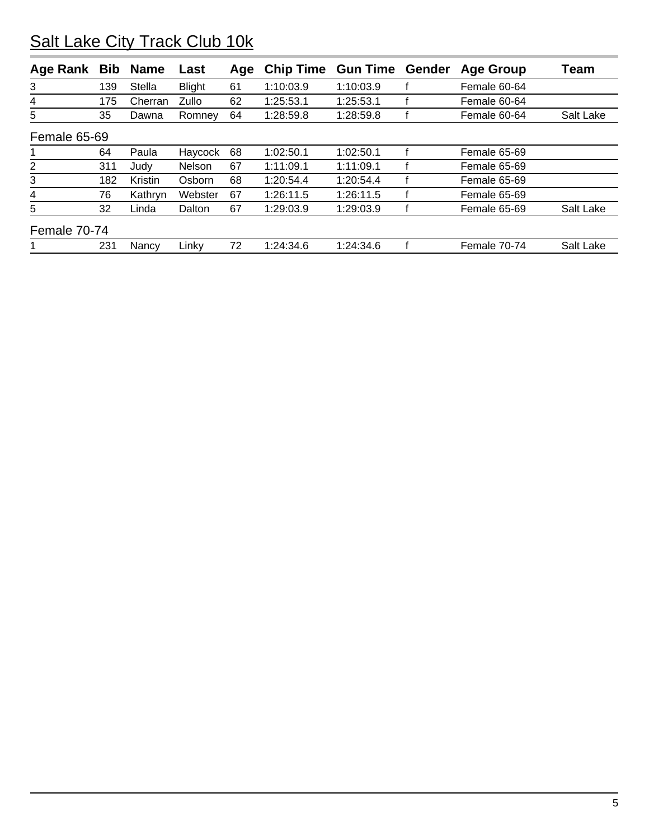| Age Rank       | <b>Bib</b> | <b>Name</b>   | Last          | Age | <b>Chip Time</b> | <b>Gun Time</b> | Gender | <b>Age Group</b> | Team      |
|----------------|------------|---------------|---------------|-----|------------------|-----------------|--------|------------------|-----------|
| 3              | 139        | <b>Stella</b> | <b>Blight</b> | 61  | 1:10:03.9        | 1:10:03.9       |        | Female 60-64     |           |
| 4              | 175        | Cherran       | Zullo         | 62  | 1:25:53.1        | 1:25:53.1       |        | Female 60-64     |           |
| 5              | 35         | Dawna         | Romney        | 64  | 1:28:59.8        | 1:28:59.8       |        | Female 60-64     | Salt Lake |
| Female 65-69   |            |               |               |     |                  |                 |        |                  |           |
|                | 64         | Paula         | Haycock       | 68  | 1:02:50.1        | 1:02:50.1       |        | Female 65-69     |           |
| $\overline{2}$ | 311        | Judy          | Nelson        | 67  | 1:11:09.1        | 1:11:09.1       |        | Female 65-69     |           |
| 3              | 182        | Kristin       | Osborn        | 68  | 1:20:54.4        | 1:20:54.4       |        | Female 65-69     |           |
| 4              | 76         | Kathryn       | Webster       | 67  | 1:26:11.5        | 1:26:11.5       |        | Female 65-69     |           |
| 5              | 32         | Linda         | Dalton        | 67  | 1:29:03.9        | 1:29:03.9       |        | Female 65-69     | Salt Lake |
| Female 70-74   |            |               |               |     |                  |                 |        |                  |           |
|                | 231        | Nancy         | Linky         | 72  | 1:24:34.6        | 1:24:34.6       |        | Female 70-74     | Salt Lake |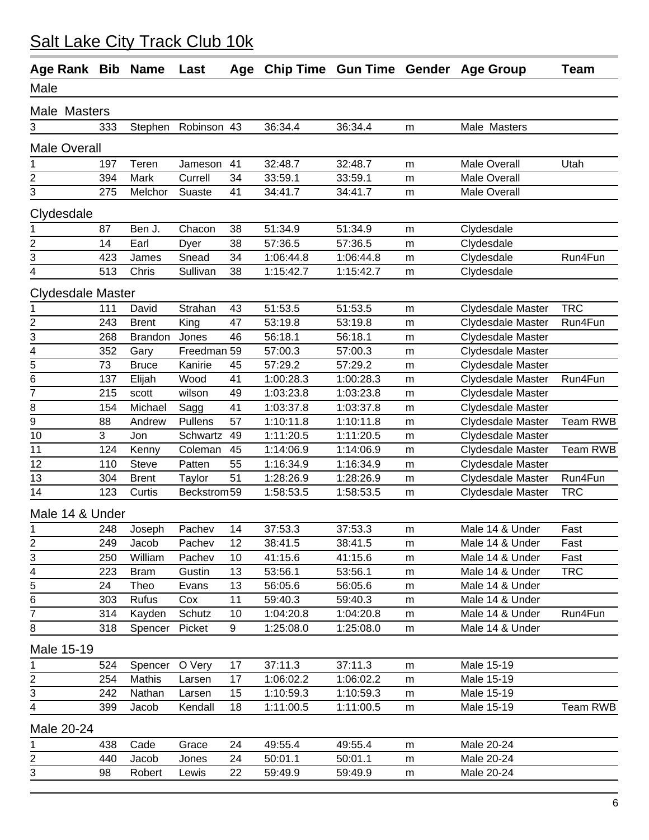| Age Rank Bib Name        |     |                | Last        | Age |           |           |           | Chip Time Gun Time Gender Age Group | Team            |
|--------------------------|-----|----------------|-------------|-----|-----------|-----------|-----------|-------------------------------------|-----------------|
| Male                     |     |                |             |     |           |           |           |                                     |                 |
| Male Masters             |     |                |             |     |           |           |           |                                     |                 |
| 3                        | 333 | Stephen        | Robinson 43 |     | 36:34.4   | 36:34.4   | m         | Male Masters                        |                 |
| <b>Male Overall</b>      |     |                |             |     |           |           |           |                                     |                 |
| 1                        | 197 | Teren          | Jameson     | 41  | 32:48.7   | 32:48.7   | m         | Male Overall                        | Utah            |
| 2                        | 394 | Mark           | Currell     | 34  | 33:59.1   | 33:59.1   | m         | Male Overall                        |                 |
| 3                        | 275 | Melchor        | Suaste      | 41  | 34:41.7   | 34:41.7   | m         | <b>Male Overall</b>                 |                 |
| Clydesdale               |     |                |             |     |           |           |           |                                     |                 |
| 1                        | 87  | Ben J.         | Chacon      | 38  | 51:34.9   | 51:34.9   | m         | Clydesdale                          |                 |
| $\boldsymbol{2}$         | 14  | Earl           | Dyer        | 38  | 57:36.5   | 57:36.5   | m         | Clydesdale                          |                 |
| 3                        | 423 | James          | Snead       | 34  | 1:06:44.8 | 1:06:44.8 | m         | Clydesdale                          | Run4Fun         |
| 4                        | 513 | Chris          | Sullivan    | 38  | 1:15:42.7 | 1:15:42.7 | m         | Clydesdale                          |                 |
| <b>Clydesdale Master</b> |     |                |             |     |           |           |           |                                     |                 |
| 1                        | 111 | David          | Strahan     | 43  | 51:53.5   | 51:53.5   | m         | Clydesdale Master                   | <b>TRC</b>      |
| $\overline{\mathbf{c}}$  | 243 | <b>Brent</b>   | King        | 47  | 53:19.8   | 53:19.8   | m         | <b>Clydesdale Master</b>            | Run4Fun         |
| 3                        | 268 | <b>Brandon</b> | Jones       | 46  | 56:18.1   | 56:18.1   | m         | Clydesdale Master                   |                 |
| $\overline{\mathbf{4}}$  | 352 | Gary           | Freedman 59 |     | 57:00.3   | 57:00.3   | m         | <b>Clydesdale Master</b>            |                 |
| 5                        | 73  | <b>Bruce</b>   | Kanirie     | 45  | 57:29.2   | 57:29.2   | m         | Clydesdale Master                   |                 |
| 6                        | 137 | Elijah         | Wood        | 41  | 1:00:28.3 | 1:00:28.3 | m         | Clydesdale Master                   | Run4Fun         |
| 7                        | 215 | scott          | wilson      | 49  | 1:03:23.8 | 1:03:23.8 | m         | Clydesdale Master                   |                 |
| 8                        | 154 | Michael        | Sagg        | 41  | 1:03:37.8 | 1:03:37.8 | m         | <b>Clydesdale Master</b>            |                 |
| 9                        | 88  | Andrew         | Pullens     | 57  | 1:10:11.8 | 1:10:11.8 | m         | Clydesdale Master                   | <b>Team RWB</b> |
| 10                       | 3   | Jon            | Schwartz    | 49  | 1:11:20.5 | 1:11:20.5 | ${\sf m}$ | Clydesdale Master                   |                 |
| 11                       | 124 | Kenny          | Coleman     | 45  | 1:14:06.9 | 1:14:06.9 | m         | Clydesdale Master                   | <b>Team RWB</b> |
| 12                       | 110 | Steve          | Patten      | 55  | 1:16:34.9 | 1:16:34.9 | m         | <b>Clydesdale Master</b>            |                 |
| 13                       | 304 | <b>Brent</b>   | Taylor      | 51  | 1:28:26.9 | 1:28:26.9 | ${\sf m}$ | <b>Clydesdale Master</b>            | Run4Fun         |
| 14                       | 123 | Curtis         | Beckstrom59 |     | 1:58:53.5 | 1:58:53.5 | m         | Clydesdale Master                   | <b>TRC</b>      |
| Male 14 & Under          |     |                |             |     |           |           |           |                                     |                 |
| 1                        | 248 | Joseph         | Pachev      | 14  | 37:53.3   | 37:53.3   | m         | Male 14 & Under                     | Fast            |
| $\overline{c}$           | 249 | Jacob          | Pachev      | 12  | 38:41.5   | 38:41.5   | m         | Male 14 & Under                     | Fast            |
| $\sqrt{3}$               | 250 | William        | Pachev      | 10  | 41:15.6   | 41:15.6   | m         | Male 14 & Under                     | Fast            |
| 4                        | 223 | <b>Bram</b>    | Gustin      | 13  | 53:56.1   | 53:56.1   | m         | Male 14 & Under                     | <b>TRC</b>      |
| 5                        | 24  | Theo           | Evans       | 13  | 56:05.6   | 56:05.6   | m         | Male 14 & Under                     |                 |
| 6                        | 303 | Rufus          | Cox         | 11  | 59:40.3   | 59:40.3   | m         | Male 14 & Under                     |                 |
| $\overline{7}$           | 314 | Kayden         | Schutz      | 10  | 1:04:20.8 | 1:04:20.8 | m         | Male 14 & Under                     | Run4Fun         |
| 8                        | 318 | Spencer        | Picket      | 9   | 1:25:08.0 | 1:25:08.0 | m         | Male 14 & Under                     |                 |
| Male 15-19               |     |                |             |     |           |           |           |                                     |                 |
| 1                        | 524 | Spencer        | O Very      | 17  | 37:11.3   | 37:11.3   | m         | Male 15-19                          |                 |
| $\overline{\mathbf{c}}$  | 254 | Mathis         | Larsen      | 17  | 1:06:02.2 | 1:06:02.2 | m         | Male 15-19                          |                 |
| 3                        | 242 | Nathan         | Larsen      | 15  | 1:10:59.3 | 1:10:59.3 | m         | Male 15-19                          |                 |
| 4                        | 399 | Jacob          | Kendall     | 18  | 1:11:00.5 | 1:11:00.5 | m         | Male 15-19                          | <b>Team RWB</b> |
| Male 20-24               |     |                |             |     |           |           |           |                                     |                 |
| 1                        | 438 | Cade           | Grace       | 24  | 49:55.4   | 49:55.4   | m         | Male 20-24                          |                 |
| $\overline{c}$           | 440 | Jacob          | Jones       | 24  | 50:01.1   | 50:01.1   | m         | Male 20-24                          |                 |
| 3                        | 98  | Robert         | Lewis       | 22  | 59:49.9   | 59:49.9   | m         | Male 20-24                          |                 |
|                          |     |                |             |     |           |           |           |                                     |                 |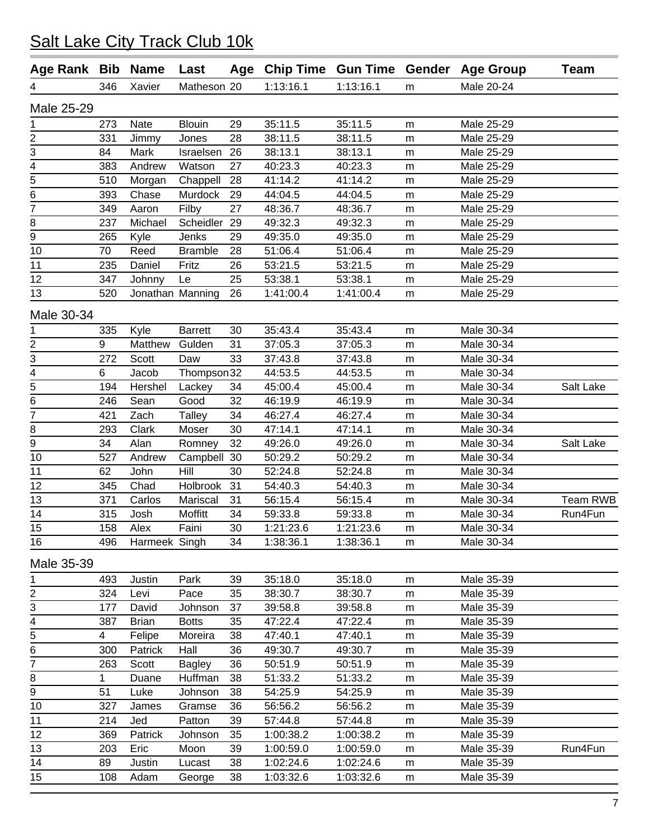| Age Rank Bib                |     | <b>Name</b>   | Last             |    | Age Chip Time Gun Time Gender |           |   | <b>Age Group</b> | <b>Team</b> |
|-----------------------------|-----|---------------|------------------|----|-------------------------------|-----------|---|------------------|-------------|
| 4                           | 346 | Xavier        | Matheson 20      |    | 1:13:16.1                     | 1:13:16.1 | m | Male 20-24       |             |
| Male 25-29                  |     |               |                  |    |                               |           |   |                  |             |
| 1                           | 273 | Nate          | <b>Blouin</b>    | 29 | 35:11.5                       | 35:11.5   | m | Male 25-29       |             |
| $\overline{2}$              | 331 | Jimmy         | Jones            | 28 | 38:11.5                       | 38:11.5   | m | Male 25-29       |             |
| 3                           | 84  | Mark          | Israelsen        | 26 | 38:13.1                       | 38:13.1   | m | Male 25-29       |             |
| 4                           | 383 | Andrew        | Watson           | 27 | 40:23.3                       | 40:23.3   | m | Male 25-29       |             |
| $\overline{5}$              | 510 | Morgan        | Chappell         | 28 | 41:14.2                       | 41:14.2   | m | Male 25-29       |             |
| $\overline{6}$              | 393 | Chase         | Murdock          | 29 | 44:04.5                       | 44:04.5   | m | Male 25-29       |             |
| $\overline{7}$              | 349 | Aaron         | Filby            | 27 | 48:36.7                       | 48:36.7   | m | Male 25-29       |             |
| 8                           | 237 | Michael       | Scheidler        | 29 | 49:32.3                       | 49:32.3   | m | Male 25-29       |             |
| 9                           | 265 | Kyle          | Jenks            | 29 | 49:35.0                       | 49:35.0   | m | Male 25-29       |             |
| 10                          | 70  | Reed          | <b>Bramble</b>   | 28 | 51:06.4                       | 51:06.4   | m | Male 25-29       |             |
| 11                          | 235 | Daniel        | Fritz            | 26 | 53:21.5                       | 53:21.5   | m | Male 25-29       |             |
| 12                          | 347 | Johnny        | Le               | 25 | 53:38.1                       | 53:38.1   | m | Male 25-29       |             |
| 13                          | 520 |               | Jonathan Manning | 26 | 1:41:00.4                     | 1:41:00.4 | m | Male 25-29       |             |
| Male 30-34                  |     |               |                  |    |                               |           |   |                  |             |
| 1                           | 335 | Kyle          | <b>Barrett</b>   | 30 | 35:43.4                       | 35:43.4   | m | Male 30-34       |             |
| $\overline{2}$              | 9   | Matthew       | Gulden           | 31 | 37:05.3                       | 37:05.3   | m | Male 30-34       |             |
| 3                           | 272 | Scott         | Daw              | 33 | 37:43.8                       | 37:43.8   | m | Male 30-34       |             |
| $\overline{4}$              | 6   | Jacob         | Thompson32       |    | 44:53.5                       | 44:53.5   | m | Male 30-34       |             |
| $\overline{5}$              | 194 | Hershel       | Lackey           | 34 | 45:00.4                       | 45:00.4   | m | Male 30-34       | Salt Lake   |
| 6                           | 246 | Sean          | Good             | 32 | 46:19.9                       | 46:19.9   | m | Male 30-34       |             |
| $\overline{7}$              | 421 | Zach          | <b>Talley</b>    | 34 | 46:27.4                       | 46:27.4   | m | Male 30-34       |             |
| 8                           | 293 | Clark         | Moser            | 30 | 47:14.1                       | 47:14.1   | m | Male 30-34       |             |
| $\overline{9}$              | 34  | Alan          | Romney           | 32 | 49:26.0                       | 49:26.0   | m | Male 30-34       | Salt Lake   |
| 10                          | 527 | Andrew        | Campbell         | 30 | 50:29.2                       | 50:29.2   | m | Male 30-34       |             |
| 11                          | 62  | John          | <b>Hill</b>      | 30 | 52:24.8                       | 52:24.8   | m | Male 30-34       |             |
| 12                          | 345 | Chad          | Holbrook         | 31 | 54:40.3                       | 54:40.3   | m | Male 30-34       |             |
| 13                          | 371 | Carlos        | Mariscal         | 31 | 56:15.4                       | 56:15.4   | m | Male 30-34       | Team RWB    |
| 14                          | 315 | Josh          | Moffitt          | 34 | 59:33.8                       | 59:33.8   | m | Male 30-34       | Run4Fun     |
| 15                          | 158 | Alex          | Faini            | 30 | 1:21:23.6                     | 1:21:23.6 | m | Male 30-34       |             |
| 16                          | 496 | Harmeek Singh |                  | 34 | 1:38:36.1                     | 1:38:36.1 | m | Male 30-34       |             |
| Male 35-39                  |     |               |                  |    |                               |           |   |                  |             |
| 1                           | 493 | Justin        | Park             | 39 | 35:18.0                       | 35:18.0   | m | Male 35-39       |             |
| $\overline{2}$              | 324 | Levi          | Pace             | 35 | 38:30.7                       | 38:30.7   | m | Male 35-39       |             |
|                             | 177 | David         | Johnson          | 37 | 39:58.8                       | 39:58.8   | m | Male 35-39       |             |
|                             | 387 | <b>Brian</b>  | <b>Botts</b>     | 35 | 47:22.4                       | 47:22.4   | m | Male 35-39       |             |
| $\frac{3}{4}$ $\frac{4}{5}$ | 4   | Felipe        | Moreira          | 38 | 47:40.1                       | 47:40.1   | m | Male 35-39       |             |
| 6                           | 300 | Patrick       | Hall             | 36 | 49:30.7                       | 49:30.7   | m | Male 35-39       |             |
| $\overline{7}$              | 263 | Scott         | <b>Bagley</b>    | 36 | 50:51.9                       | 50:51.9   | m | Male 35-39       |             |
| 8                           | 1   | Duane         | Huffman          | 38 | 51:33.2                       | 51:33.2   | m | Male 35-39       |             |
| 9                           | 51  | Luke          | Johnson          | 38 | 54:25.9                       | 54:25.9   | m | Male 35-39       |             |
| 10                          | 327 | James         | Gramse           | 36 | 56:56.2                       | 56:56.2   | m | Male 35-39       |             |
| 11                          | 214 | Jed           | Patton           | 39 | 57:44.8                       | 57:44.8   | m | Male 35-39       |             |
| 12                          | 369 | Patrick       | Johnson          | 35 | 1:00:38.2                     | 1:00:38.2 | m | Male 35-39       |             |
| 13                          | 203 | Eric          | Moon             | 39 | 1:00:59.0                     | 1:00:59.0 | m | Male 35-39       | Run4Fun     |
| 14                          | 89  | Justin        | Lucast           | 38 | 1:02:24.6                     | 1:02:24.6 | m | Male 35-39       |             |
| 15                          | 108 | Adam          | George           | 38 | 1:03:32.6                     | 1:03:32.6 | m | Male 35-39       |             |
|                             |     |               |                  |    |                               |           |   |                  |             |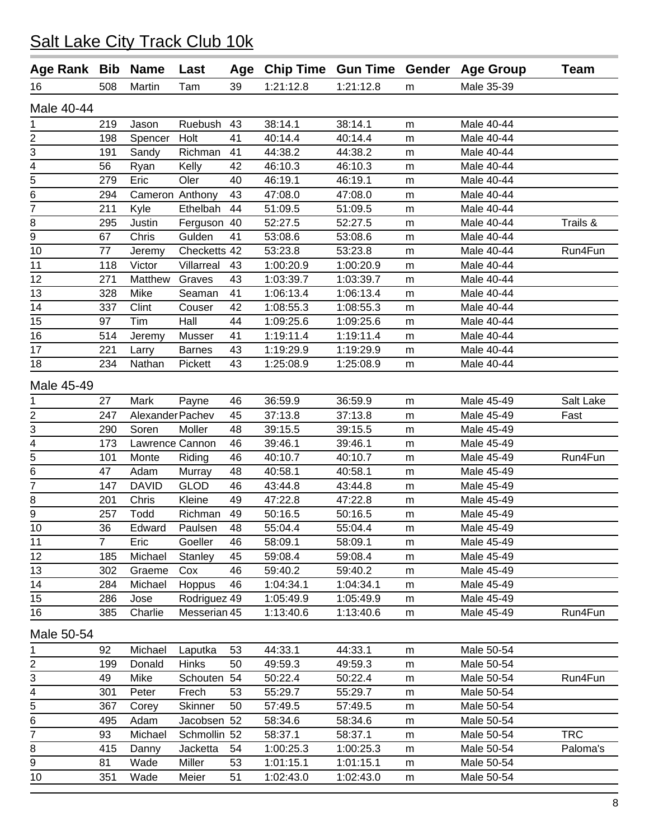| 39<br>1:21:12.8<br>1:21:12.8<br>Male 35-39<br>16<br>508<br>Martin<br>Tam<br>m<br>Male 40-44<br>Ruebush<br>38:14.1<br>219<br>38:14.1<br>Male 40-44<br>1<br>Jason<br>43<br>m<br>$\overline{2}$<br>40:14.4<br>198<br>Holt<br>41<br>40:14.4<br>Male 40-44<br>Spencer<br>m<br>3<br>41<br>44:38.2<br>191<br>Richman<br>44:38.2<br>Male 40-44<br>Sandy<br>m<br>$\overline{4}$<br>56<br>Kelly<br>42<br>46:10.3<br>46:10.3<br>Male 40-44<br>Ryan<br>m<br>$\overline{5}$<br>279<br>Eric<br>Oler<br>40<br>46:19.1<br>46:19.1<br>Male 40-44<br>m<br>6<br>294<br>Cameron Anthony<br>43<br>47:08.0<br>47:08.0<br>Male 40-44<br>m<br>7<br>211<br>Kyle<br>Ethelbah<br>44<br>51:09.5<br>51:09.5<br>Male 40-44<br>m<br>Trails &<br>8<br>Ferguson 40<br>52:27.5<br>Male 40-44<br>295<br>Justin<br>52:27.5<br>m<br>$\overline{9}$<br>67<br>Gulden<br>41<br>Male 40-44<br>Chris<br>53:08.6<br>53:08.6<br>m<br>10<br>77<br>Checketts 42<br>53:23.8<br>53:23.8<br>Male 40-44<br>Run4Fun<br>Jeremy<br>m<br>11<br>1:00:20.9<br>118<br>Victor<br>Villarreal<br>1:00:20.9<br>Male 40-44<br>43<br>m<br>271<br>43<br>1:03:39.7<br>1:03:39.7<br>Male 40-44<br>12<br>Matthew<br>Graves<br>m<br>Mike<br>41<br>1:06:13.4<br>13<br>328<br>1:06:13.4<br>Male 40-44<br>Seaman<br>m<br>14<br>337<br>Clint<br>42<br>1:08:55.3<br>1:08:55.3<br>Male 40-44<br>Couser<br>m<br>15<br>97<br>Tim<br>Hall<br>44<br>1:09:25.6<br>1:09:25.6<br>Male 40-44<br>m<br>16<br>514<br>Musser<br>41<br>1:19:11.4<br>1:19:11.4<br>Male 40-44<br>Jeremy<br>m<br>17<br>221<br>43<br>1:19:29.9<br>1:19:29.9<br>Male 40-44<br>Larry<br><b>Barnes</b><br>m<br>18<br>43<br>Male 40-44<br>234<br>Nathan<br>Pickett<br>1:25:08.9<br>1:25:08.9<br>m<br>Male 45-49<br>Male 45-49<br>Salt Lake<br>27<br>Mark<br>36:59.9<br>36:59.9<br>Payne<br>46<br>1<br>m<br>2<br>247<br>Alexander Pachev<br>45<br>37:13.8<br>37:13.8<br>Male 45-49<br>Fast<br>m<br>3<br>290<br>Soren<br>Moller<br>48<br>39:15.5<br>39:15.5<br>Male 45-49<br>m<br>$\frac{4}{5}$<br>173<br>Lawrence Cannon<br>46<br>39:46.1<br>39:46.1<br>Male 45-49<br>m<br>Run4Fun<br>46<br>40:10.7<br>40:10.7<br>101<br>Monte<br>Riding<br>Male 45-49<br>m<br>6<br>48<br>Male 45-49<br>47<br>Adam<br>40:58.1<br>40:58.1<br>Murray<br>m<br>$\overline{7}$<br><b>DAVID</b><br><b>GLOD</b><br>43:44.8<br>147<br>46<br>43:44.8<br>Male 45-49<br>m<br>Kleine<br>47:22.8<br>47:22.8<br>8<br>201<br>Chris<br>49<br>Male 45-49<br>m<br>9<br>257<br>Todd<br>Richman<br>49<br>50:16.5<br>50:16.5<br>Male 45-49<br>m<br>10<br>48<br>36<br>Edward<br>55:04.4<br>55:04.4<br>Male 45-49<br>Paulsen<br>m<br>$\overline{7}$<br>Goeller<br>11<br>Eric<br>46<br>58:09.1<br>58:09.1<br>Male 45-49<br>m<br>12<br>Michael<br>Stanley<br>45<br>59:08.4<br>59:08.4<br>Male 45-49<br>185<br>m<br>13<br>46<br>59:40.2<br>59:40.2<br>Male 45-49<br>302<br>Graeme<br>Cox<br>m<br>Hoppus<br>14<br>284<br>Michael<br>46<br>1:04:34.1<br>1:04:34.1<br>Male 45-49<br>m<br>15<br>Rodriguez 49<br>286<br>1:05:49.9<br>1:05:49.9<br>Male 45-49<br>Jose<br>m<br>16<br>Messerian 45<br>Run4Fun<br>385<br>Charlie<br>1:13:40.6<br>1:13:40.6<br>Male 45-49<br>m<br>Male 50-54<br>Michael<br>44:33.1<br>Male 50-54<br>1<br>92<br>Laputka<br>53<br>44:33.1<br>m<br>2<br>Donald<br><b>Hinks</b><br>50<br>49:59.3<br>49:59.3<br>199<br>Male 50-54<br>m<br>3<br>Mike<br>Run4Fun<br>49<br>54<br>50:22.4<br>50:22.4<br>Male 50-54<br>Schouten<br>m<br>4<br>55:29.7<br>55:29.7<br>301<br>Peter<br>Frech<br>53<br>Male 50-54<br>m<br>5<br>367<br><b>Skinner</b><br>50<br>57:49.5<br>57:49.5<br>Male 50-54<br>Corey<br>m<br>$\overline{6}$<br>Adam<br>495<br>Jacobsen 52<br>58:34.6<br>58:34.6<br>Male 50-54<br>m<br>$\overline{7}$<br><b>TRC</b><br>Michael<br>Schmollin 52<br>58:37.1<br>58:37.1<br>Male 50-54<br>93<br>m<br>1:00:25.3<br>1:00:25.3<br>Paloma's<br>8<br>415<br>Jacketta<br>54<br>Male 50-54<br>Danny<br>m<br>9<br>Wade<br>81<br>Miller<br>53<br>1:01:15.1<br>1:01:15.1<br>Male 50-54<br>m<br>1:02:43.0<br>1:02:43.0<br>Male 50-54<br>10<br>351<br>Wade<br>Meier<br>51<br>m | Age Rank Bib | <b>Name</b> | Last | Age Chip Time Gun Time Gender |  | <b>Age Group</b> | <b>Team</b> |
|-------------------------------------------------------------------------------------------------------------------------------------------------------------------------------------------------------------------------------------------------------------------------------------------------------------------------------------------------------------------------------------------------------------------------------------------------------------------------------------------------------------------------------------------------------------------------------------------------------------------------------------------------------------------------------------------------------------------------------------------------------------------------------------------------------------------------------------------------------------------------------------------------------------------------------------------------------------------------------------------------------------------------------------------------------------------------------------------------------------------------------------------------------------------------------------------------------------------------------------------------------------------------------------------------------------------------------------------------------------------------------------------------------------------------------------------------------------------------------------------------------------------------------------------------------------------------------------------------------------------------------------------------------------------------------------------------------------------------------------------------------------------------------------------------------------------------------------------------------------------------------------------------------------------------------------------------------------------------------------------------------------------------------------------------------------------------------------------------------------------------------------------------------------------------------------------------------------------------------------------------------------------------------------------------------------------------------------------------------------------------------------------------------------------------------------------------------------------------------------------------------------------------------------------------------------------------------------------------------------------------------------------------------------------------------------------------------------------------------------------------------------------------------------------------------------------------------------------------------------------------------------------------------------------------------------------------------------------------------------------------------------------------------------------------------------------------------------------------------------------------------------------------------------------------------------------------------------------------------------------------------------------------------------------------------------------------------------------------------------------------------------------------------------------------------------------------------------------------------------------------------------------------------------------------------------------------------------------------------------------------------------------------------------------------------------------------------------------------------------------------------------------------------------------------------------------------------------------------------------------------------------------------------------------------------------------------------------------------------------------------------------------------------|--------------|-------------|------|-------------------------------|--|------------------|-------------|
|                                                                                                                                                                                                                                                                                                                                                                                                                                                                                                                                                                                                                                                                                                                                                                                                                                                                                                                                                                                                                                                                                                                                                                                                                                                                                                                                                                                                                                                                                                                                                                                                                                                                                                                                                                                                                                                                                                                                                                                                                                                                                                                                                                                                                                                                                                                                                                                                                                                                                                                                                                                                                                                                                                                                                                                                                                                                                                                                                                                                                                                                                                                                                                                                                                                                                                                                                                                                                                                                                                                                                                                                                                                                                                                                                                                                                                                                                                                                                                                                                               |              |             |      |                               |  |                  |             |
|                                                                                                                                                                                                                                                                                                                                                                                                                                                                                                                                                                                                                                                                                                                                                                                                                                                                                                                                                                                                                                                                                                                                                                                                                                                                                                                                                                                                                                                                                                                                                                                                                                                                                                                                                                                                                                                                                                                                                                                                                                                                                                                                                                                                                                                                                                                                                                                                                                                                                                                                                                                                                                                                                                                                                                                                                                                                                                                                                                                                                                                                                                                                                                                                                                                                                                                                                                                                                                                                                                                                                                                                                                                                                                                                                                                                                                                                                                                                                                                                                               |              |             |      |                               |  |                  |             |
|                                                                                                                                                                                                                                                                                                                                                                                                                                                                                                                                                                                                                                                                                                                                                                                                                                                                                                                                                                                                                                                                                                                                                                                                                                                                                                                                                                                                                                                                                                                                                                                                                                                                                                                                                                                                                                                                                                                                                                                                                                                                                                                                                                                                                                                                                                                                                                                                                                                                                                                                                                                                                                                                                                                                                                                                                                                                                                                                                                                                                                                                                                                                                                                                                                                                                                                                                                                                                                                                                                                                                                                                                                                                                                                                                                                                                                                                                                                                                                                                                               |              |             |      |                               |  |                  |             |
|                                                                                                                                                                                                                                                                                                                                                                                                                                                                                                                                                                                                                                                                                                                                                                                                                                                                                                                                                                                                                                                                                                                                                                                                                                                                                                                                                                                                                                                                                                                                                                                                                                                                                                                                                                                                                                                                                                                                                                                                                                                                                                                                                                                                                                                                                                                                                                                                                                                                                                                                                                                                                                                                                                                                                                                                                                                                                                                                                                                                                                                                                                                                                                                                                                                                                                                                                                                                                                                                                                                                                                                                                                                                                                                                                                                                                                                                                                                                                                                                                               |              |             |      |                               |  |                  |             |
|                                                                                                                                                                                                                                                                                                                                                                                                                                                                                                                                                                                                                                                                                                                                                                                                                                                                                                                                                                                                                                                                                                                                                                                                                                                                                                                                                                                                                                                                                                                                                                                                                                                                                                                                                                                                                                                                                                                                                                                                                                                                                                                                                                                                                                                                                                                                                                                                                                                                                                                                                                                                                                                                                                                                                                                                                                                                                                                                                                                                                                                                                                                                                                                                                                                                                                                                                                                                                                                                                                                                                                                                                                                                                                                                                                                                                                                                                                                                                                                                                               |              |             |      |                               |  |                  |             |
|                                                                                                                                                                                                                                                                                                                                                                                                                                                                                                                                                                                                                                                                                                                                                                                                                                                                                                                                                                                                                                                                                                                                                                                                                                                                                                                                                                                                                                                                                                                                                                                                                                                                                                                                                                                                                                                                                                                                                                                                                                                                                                                                                                                                                                                                                                                                                                                                                                                                                                                                                                                                                                                                                                                                                                                                                                                                                                                                                                                                                                                                                                                                                                                                                                                                                                                                                                                                                                                                                                                                                                                                                                                                                                                                                                                                                                                                                                                                                                                                                               |              |             |      |                               |  |                  |             |
|                                                                                                                                                                                                                                                                                                                                                                                                                                                                                                                                                                                                                                                                                                                                                                                                                                                                                                                                                                                                                                                                                                                                                                                                                                                                                                                                                                                                                                                                                                                                                                                                                                                                                                                                                                                                                                                                                                                                                                                                                                                                                                                                                                                                                                                                                                                                                                                                                                                                                                                                                                                                                                                                                                                                                                                                                                                                                                                                                                                                                                                                                                                                                                                                                                                                                                                                                                                                                                                                                                                                                                                                                                                                                                                                                                                                                                                                                                                                                                                                                               |              |             |      |                               |  |                  |             |
|                                                                                                                                                                                                                                                                                                                                                                                                                                                                                                                                                                                                                                                                                                                                                                                                                                                                                                                                                                                                                                                                                                                                                                                                                                                                                                                                                                                                                                                                                                                                                                                                                                                                                                                                                                                                                                                                                                                                                                                                                                                                                                                                                                                                                                                                                                                                                                                                                                                                                                                                                                                                                                                                                                                                                                                                                                                                                                                                                                                                                                                                                                                                                                                                                                                                                                                                                                                                                                                                                                                                                                                                                                                                                                                                                                                                                                                                                                                                                                                                                               |              |             |      |                               |  |                  |             |
|                                                                                                                                                                                                                                                                                                                                                                                                                                                                                                                                                                                                                                                                                                                                                                                                                                                                                                                                                                                                                                                                                                                                                                                                                                                                                                                                                                                                                                                                                                                                                                                                                                                                                                                                                                                                                                                                                                                                                                                                                                                                                                                                                                                                                                                                                                                                                                                                                                                                                                                                                                                                                                                                                                                                                                                                                                                                                                                                                                                                                                                                                                                                                                                                                                                                                                                                                                                                                                                                                                                                                                                                                                                                                                                                                                                                                                                                                                                                                                                                                               |              |             |      |                               |  |                  |             |
|                                                                                                                                                                                                                                                                                                                                                                                                                                                                                                                                                                                                                                                                                                                                                                                                                                                                                                                                                                                                                                                                                                                                                                                                                                                                                                                                                                                                                                                                                                                                                                                                                                                                                                                                                                                                                                                                                                                                                                                                                                                                                                                                                                                                                                                                                                                                                                                                                                                                                                                                                                                                                                                                                                                                                                                                                                                                                                                                                                                                                                                                                                                                                                                                                                                                                                                                                                                                                                                                                                                                                                                                                                                                                                                                                                                                                                                                                                                                                                                                                               |              |             |      |                               |  |                  |             |
|                                                                                                                                                                                                                                                                                                                                                                                                                                                                                                                                                                                                                                                                                                                                                                                                                                                                                                                                                                                                                                                                                                                                                                                                                                                                                                                                                                                                                                                                                                                                                                                                                                                                                                                                                                                                                                                                                                                                                                                                                                                                                                                                                                                                                                                                                                                                                                                                                                                                                                                                                                                                                                                                                                                                                                                                                                                                                                                                                                                                                                                                                                                                                                                                                                                                                                                                                                                                                                                                                                                                                                                                                                                                                                                                                                                                                                                                                                                                                                                                                               |              |             |      |                               |  |                  |             |
|                                                                                                                                                                                                                                                                                                                                                                                                                                                                                                                                                                                                                                                                                                                                                                                                                                                                                                                                                                                                                                                                                                                                                                                                                                                                                                                                                                                                                                                                                                                                                                                                                                                                                                                                                                                                                                                                                                                                                                                                                                                                                                                                                                                                                                                                                                                                                                                                                                                                                                                                                                                                                                                                                                                                                                                                                                                                                                                                                                                                                                                                                                                                                                                                                                                                                                                                                                                                                                                                                                                                                                                                                                                                                                                                                                                                                                                                                                                                                                                                                               |              |             |      |                               |  |                  |             |
|                                                                                                                                                                                                                                                                                                                                                                                                                                                                                                                                                                                                                                                                                                                                                                                                                                                                                                                                                                                                                                                                                                                                                                                                                                                                                                                                                                                                                                                                                                                                                                                                                                                                                                                                                                                                                                                                                                                                                                                                                                                                                                                                                                                                                                                                                                                                                                                                                                                                                                                                                                                                                                                                                                                                                                                                                                                                                                                                                                                                                                                                                                                                                                                                                                                                                                                                                                                                                                                                                                                                                                                                                                                                                                                                                                                                                                                                                                                                                                                                                               |              |             |      |                               |  |                  |             |
|                                                                                                                                                                                                                                                                                                                                                                                                                                                                                                                                                                                                                                                                                                                                                                                                                                                                                                                                                                                                                                                                                                                                                                                                                                                                                                                                                                                                                                                                                                                                                                                                                                                                                                                                                                                                                                                                                                                                                                                                                                                                                                                                                                                                                                                                                                                                                                                                                                                                                                                                                                                                                                                                                                                                                                                                                                                                                                                                                                                                                                                                                                                                                                                                                                                                                                                                                                                                                                                                                                                                                                                                                                                                                                                                                                                                                                                                                                                                                                                                                               |              |             |      |                               |  |                  |             |
|                                                                                                                                                                                                                                                                                                                                                                                                                                                                                                                                                                                                                                                                                                                                                                                                                                                                                                                                                                                                                                                                                                                                                                                                                                                                                                                                                                                                                                                                                                                                                                                                                                                                                                                                                                                                                                                                                                                                                                                                                                                                                                                                                                                                                                                                                                                                                                                                                                                                                                                                                                                                                                                                                                                                                                                                                                                                                                                                                                                                                                                                                                                                                                                                                                                                                                                                                                                                                                                                                                                                                                                                                                                                                                                                                                                                                                                                                                                                                                                                                               |              |             |      |                               |  |                  |             |
|                                                                                                                                                                                                                                                                                                                                                                                                                                                                                                                                                                                                                                                                                                                                                                                                                                                                                                                                                                                                                                                                                                                                                                                                                                                                                                                                                                                                                                                                                                                                                                                                                                                                                                                                                                                                                                                                                                                                                                                                                                                                                                                                                                                                                                                                                                                                                                                                                                                                                                                                                                                                                                                                                                                                                                                                                                                                                                                                                                                                                                                                                                                                                                                                                                                                                                                                                                                                                                                                                                                                                                                                                                                                                                                                                                                                                                                                                                                                                                                                                               |              |             |      |                               |  |                  |             |
|                                                                                                                                                                                                                                                                                                                                                                                                                                                                                                                                                                                                                                                                                                                                                                                                                                                                                                                                                                                                                                                                                                                                                                                                                                                                                                                                                                                                                                                                                                                                                                                                                                                                                                                                                                                                                                                                                                                                                                                                                                                                                                                                                                                                                                                                                                                                                                                                                                                                                                                                                                                                                                                                                                                                                                                                                                                                                                                                                                                                                                                                                                                                                                                                                                                                                                                                                                                                                                                                                                                                                                                                                                                                                                                                                                                                                                                                                                                                                                                                                               |              |             |      |                               |  |                  |             |
|                                                                                                                                                                                                                                                                                                                                                                                                                                                                                                                                                                                                                                                                                                                                                                                                                                                                                                                                                                                                                                                                                                                                                                                                                                                                                                                                                                                                                                                                                                                                                                                                                                                                                                                                                                                                                                                                                                                                                                                                                                                                                                                                                                                                                                                                                                                                                                                                                                                                                                                                                                                                                                                                                                                                                                                                                                                                                                                                                                                                                                                                                                                                                                                                                                                                                                                                                                                                                                                                                                                                                                                                                                                                                                                                                                                                                                                                                                                                                                                                                               |              |             |      |                               |  |                  |             |
|                                                                                                                                                                                                                                                                                                                                                                                                                                                                                                                                                                                                                                                                                                                                                                                                                                                                                                                                                                                                                                                                                                                                                                                                                                                                                                                                                                                                                                                                                                                                                                                                                                                                                                                                                                                                                                                                                                                                                                                                                                                                                                                                                                                                                                                                                                                                                                                                                                                                                                                                                                                                                                                                                                                                                                                                                                                                                                                                                                                                                                                                                                                                                                                                                                                                                                                                                                                                                                                                                                                                                                                                                                                                                                                                                                                                                                                                                                                                                                                                                               |              |             |      |                               |  |                  |             |
|                                                                                                                                                                                                                                                                                                                                                                                                                                                                                                                                                                                                                                                                                                                                                                                                                                                                                                                                                                                                                                                                                                                                                                                                                                                                                                                                                                                                                                                                                                                                                                                                                                                                                                                                                                                                                                                                                                                                                                                                                                                                                                                                                                                                                                                                                                                                                                                                                                                                                                                                                                                                                                                                                                                                                                                                                                                                                                                                                                                                                                                                                                                                                                                                                                                                                                                                                                                                                                                                                                                                                                                                                                                                                                                                                                                                                                                                                                                                                                                                                               |              |             |      |                               |  |                  |             |
|                                                                                                                                                                                                                                                                                                                                                                                                                                                                                                                                                                                                                                                                                                                                                                                                                                                                                                                                                                                                                                                                                                                                                                                                                                                                                                                                                                                                                                                                                                                                                                                                                                                                                                                                                                                                                                                                                                                                                                                                                                                                                                                                                                                                                                                                                                                                                                                                                                                                                                                                                                                                                                                                                                                                                                                                                                                                                                                                                                                                                                                                                                                                                                                                                                                                                                                                                                                                                                                                                                                                                                                                                                                                                                                                                                                                                                                                                                                                                                                                                               |              |             |      |                               |  |                  |             |
|                                                                                                                                                                                                                                                                                                                                                                                                                                                                                                                                                                                                                                                                                                                                                                                                                                                                                                                                                                                                                                                                                                                                                                                                                                                                                                                                                                                                                                                                                                                                                                                                                                                                                                                                                                                                                                                                                                                                                                                                                                                                                                                                                                                                                                                                                                                                                                                                                                                                                                                                                                                                                                                                                                                                                                                                                                                                                                                                                                                                                                                                                                                                                                                                                                                                                                                                                                                                                                                                                                                                                                                                                                                                                                                                                                                                                                                                                                                                                                                                                               |              |             |      |                               |  |                  |             |
|                                                                                                                                                                                                                                                                                                                                                                                                                                                                                                                                                                                                                                                                                                                                                                                                                                                                                                                                                                                                                                                                                                                                                                                                                                                                                                                                                                                                                                                                                                                                                                                                                                                                                                                                                                                                                                                                                                                                                                                                                                                                                                                                                                                                                                                                                                                                                                                                                                                                                                                                                                                                                                                                                                                                                                                                                                                                                                                                                                                                                                                                                                                                                                                                                                                                                                                                                                                                                                                                                                                                                                                                                                                                                                                                                                                                                                                                                                                                                                                                                               |              |             |      |                               |  |                  |             |
|                                                                                                                                                                                                                                                                                                                                                                                                                                                                                                                                                                                                                                                                                                                                                                                                                                                                                                                                                                                                                                                                                                                                                                                                                                                                                                                                                                                                                                                                                                                                                                                                                                                                                                                                                                                                                                                                                                                                                                                                                                                                                                                                                                                                                                                                                                                                                                                                                                                                                                                                                                                                                                                                                                                                                                                                                                                                                                                                                                                                                                                                                                                                                                                                                                                                                                                                                                                                                                                                                                                                                                                                                                                                                                                                                                                                                                                                                                                                                                                                                               |              |             |      |                               |  |                  |             |
|                                                                                                                                                                                                                                                                                                                                                                                                                                                                                                                                                                                                                                                                                                                                                                                                                                                                                                                                                                                                                                                                                                                                                                                                                                                                                                                                                                                                                                                                                                                                                                                                                                                                                                                                                                                                                                                                                                                                                                                                                                                                                                                                                                                                                                                                                                                                                                                                                                                                                                                                                                                                                                                                                                                                                                                                                                                                                                                                                                                                                                                                                                                                                                                                                                                                                                                                                                                                                                                                                                                                                                                                                                                                                                                                                                                                                                                                                                                                                                                                                               |              |             |      |                               |  |                  |             |
|                                                                                                                                                                                                                                                                                                                                                                                                                                                                                                                                                                                                                                                                                                                                                                                                                                                                                                                                                                                                                                                                                                                                                                                                                                                                                                                                                                                                                                                                                                                                                                                                                                                                                                                                                                                                                                                                                                                                                                                                                                                                                                                                                                                                                                                                                                                                                                                                                                                                                                                                                                                                                                                                                                                                                                                                                                                                                                                                                                                                                                                                                                                                                                                                                                                                                                                                                                                                                                                                                                                                                                                                                                                                                                                                                                                                                                                                                                                                                                                                                               |              |             |      |                               |  |                  |             |
|                                                                                                                                                                                                                                                                                                                                                                                                                                                                                                                                                                                                                                                                                                                                                                                                                                                                                                                                                                                                                                                                                                                                                                                                                                                                                                                                                                                                                                                                                                                                                                                                                                                                                                                                                                                                                                                                                                                                                                                                                                                                                                                                                                                                                                                                                                                                                                                                                                                                                                                                                                                                                                                                                                                                                                                                                                                                                                                                                                                                                                                                                                                                                                                                                                                                                                                                                                                                                                                                                                                                                                                                                                                                                                                                                                                                                                                                                                                                                                                                                               |              |             |      |                               |  |                  |             |
|                                                                                                                                                                                                                                                                                                                                                                                                                                                                                                                                                                                                                                                                                                                                                                                                                                                                                                                                                                                                                                                                                                                                                                                                                                                                                                                                                                                                                                                                                                                                                                                                                                                                                                                                                                                                                                                                                                                                                                                                                                                                                                                                                                                                                                                                                                                                                                                                                                                                                                                                                                                                                                                                                                                                                                                                                                                                                                                                                                                                                                                                                                                                                                                                                                                                                                                                                                                                                                                                                                                                                                                                                                                                                                                                                                                                                                                                                                                                                                                                                               |              |             |      |                               |  |                  |             |
|                                                                                                                                                                                                                                                                                                                                                                                                                                                                                                                                                                                                                                                                                                                                                                                                                                                                                                                                                                                                                                                                                                                                                                                                                                                                                                                                                                                                                                                                                                                                                                                                                                                                                                                                                                                                                                                                                                                                                                                                                                                                                                                                                                                                                                                                                                                                                                                                                                                                                                                                                                                                                                                                                                                                                                                                                                                                                                                                                                                                                                                                                                                                                                                                                                                                                                                                                                                                                                                                                                                                                                                                                                                                                                                                                                                                                                                                                                                                                                                                                               |              |             |      |                               |  |                  |             |
|                                                                                                                                                                                                                                                                                                                                                                                                                                                                                                                                                                                                                                                                                                                                                                                                                                                                                                                                                                                                                                                                                                                                                                                                                                                                                                                                                                                                                                                                                                                                                                                                                                                                                                                                                                                                                                                                                                                                                                                                                                                                                                                                                                                                                                                                                                                                                                                                                                                                                                                                                                                                                                                                                                                                                                                                                                                                                                                                                                                                                                                                                                                                                                                                                                                                                                                                                                                                                                                                                                                                                                                                                                                                                                                                                                                                                                                                                                                                                                                                                               |              |             |      |                               |  |                  |             |
|                                                                                                                                                                                                                                                                                                                                                                                                                                                                                                                                                                                                                                                                                                                                                                                                                                                                                                                                                                                                                                                                                                                                                                                                                                                                                                                                                                                                                                                                                                                                                                                                                                                                                                                                                                                                                                                                                                                                                                                                                                                                                                                                                                                                                                                                                                                                                                                                                                                                                                                                                                                                                                                                                                                                                                                                                                                                                                                                                                                                                                                                                                                                                                                                                                                                                                                                                                                                                                                                                                                                                                                                                                                                                                                                                                                                                                                                                                                                                                                                                               |              |             |      |                               |  |                  |             |
|                                                                                                                                                                                                                                                                                                                                                                                                                                                                                                                                                                                                                                                                                                                                                                                                                                                                                                                                                                                                                                                                                                                                                                                                                                                                                                                                                                                                                                                                                                                                                                                                                                                                                                                                                                                                                                                                                                                                                                                                                                                                                                                                                                                                                                                                                                                                                                                                                                                                                                                                                                                                                                                                                                                                                                                                                                                                                                                                                                                                                                                                                                                                                                                                                                                                                                                                                                                                                                                                                                                                                                                                                                                                                                                                                                                                                                                                                                                                                                                                                               |              |             |      |                               |  |                  |             |
|                                                                                                                                                                                                                                                                                                                                                                                                                                                                                                                                                                                                                                                                                                                                                                                                                                                                                                                                                                                                                                                                                                                                                                                                                                                                                                                                                                                                                                                                                                                                                                                                                                                                                                                                                                                                                                                                                                                                                                                                                                                                                                                                                                                                                                                                                                                                                                                                                                                                                                                                                                                                                                                                                                                                                                                                                                                                                                                                                                                                                                                                                                                                                                                                                                                                                                                                                                                                                                                                                                                                                                                                                                                                                                                                                                                                                                                                                                                                                                                                                               |              |             |      |                               |  |                  |             |
|                                                                                                                                                                                                                                                                                                                                                                                                                                                                                                                                                                                                                                                                                                                                                                                                                                                                                                                                                                                                                                                                                                                                                                                                                                                                                                                                                                                                                                                                                                                                                                                                                                                                                                                                                                                                                                                                                                                                                                                                                                                                                                                                                                                                                                                                                                                                                                                                                                                                                                                                                                                                                                                                                                                                                                                                                                                                                                                                                                                                                                                                                                                                                                                                                                                                                                                                                                                                                                                                                                                                                                                                                                                                                                                                                                                                                                                                                                                                                                                                                               |              |             |      |                               |  |                  |             |
|                                                                                                                                                                                                                                                                                                                                                                                                                                                                                                                                                                                                                                                                                                                                                                                                                                                                                                                                                                                                                                                                                                                                                                                                                                                                                                                                                                                                                                                                                                                                                                                                                                                                                                                                                                                                                                                                                                                                                                                                                                                                                                                                                                                                                                                                                                                                                                                                                                                                                                                                                                                                                                                                                                                                                                                                                                                                                                                                                                                                                                                                                                                                                                                                                                                                                                                                                                                                                                                                                                                                                                                                                                                                                                                                                                                                                                                                                                                                                                                                                               |              |             |      |                               |  |                  |             |
|                                                                                                                                                                                                                                                                                                                                                                                                                                                                                                                                                                                                                                                                                                                                                                                                                                                                                                                                                                                                                                                                                                                                                                                                                                                                                                                                                                                                                                                                                                                                                                                                                                                                                                                                                                                                                                                                                                                                                                                                                                                                                                                                                                                                                                                                                                                                                                                                                                                                                                                                                                                                                                                                                                                                                                                                                                                                                                                                                                                                                                                                                                                                                                                                                                                                                                                                                                                                                                                                                                                                                                                                                                                                                                                                                                                                                                                                                                                                                                                                                               |              |             |      |                               |  |                  |             |
|                                                                                                                                                                                                                                                                                                                                                                                                                                                                                                                                                                                                                                                                                                                                                                                                                                                                                                                                                                                                                                                                                                                                                                                                                                                                                                                                                                                                                                                                                                                                                                                                                                                                                                                                                                                                                                                                                                                                                                                                                                                                                                                                                                                                                                                                                                                                                                                                                                                                                                                                                                                                                                                                                                                                                                                                                                                                                                                                                                                                                                                                                                                                                                                                                                                                                                                                                                                                                                                                                                                                                                                                                                                                                                                                                                                                                                                                                                                                                                                                                               |              |             |      |                               |  |                  |             |
|                                                                                                                                                                                                                                                                                                                                                                                                                                                                                                                                                                                                                                                                                                                                                                                                                                                                                                                                                                                                                                                                                                                                                                                                                                                                                                                                                                                                                                                                                                                                                                                                                                                                                                                                                                                                                                                                                                                                                                                                                                                                                                                                                                                                                                                                                                                                                                                                                                                                                                                                                                                                                                                                                                                                                                                                                                                                                                                                                                                                                                                                                                                                                                                                                                                                                                                                                                                                                                                                                                                                                                                                                                                                                                                                                                                                                                                                                                                                                                                                                               |              |             |      |                               |  |                  |             |
|                                                                                                                                                                                                                                                                                                                                                                                                                                                                                                                                                                                                                                                                                                                                                                                                                                                                                                                                                                                                                                                                                                                                                                                                                                                                                                                                                                                                                                                                                                                                                                                                                                                                                                                                                                                                                                                                                                                                                                                                                                                                                                                                                                                                                                                                                                                                                                                                                                                                                                                                                                                                                                                                                                                                                                                                                                                                                                                                                                                                                                                                                                                                                                                                                                                                                                                                                                                                                                                                                                                                                                                                                                                                                                                                                                                                                                                                                                                                                                                                                               |              |             |      |                               |  |                  |             |
|                                                                                                                                                                                                                                                                                                                                                                                                                                                                                                                                                                                                                                                                                                                                                                                                                                                                                                                                                                                                                                                                                                                                                                                                                                                                                                                                                                                                                                                                                                                                                                                                                                                                                                                                                                                                                                                                                                                                                                                                                                                                                                                                                                                                                                                                                                                                                                                                                                                                                                                                                                                                                                                                                                                                                                                                                                                                                                                                                                                                                                                                                                                                                                                                                                                                                                                                                                                                                                                                                                                                                                                                                                                                                                                                                                                                                                                                                                                                                                                                                               |              |             |      |                               |  |                  |             |
|                                                                                                                                                                                                                                                                                                                                                                                                                                                                                                                                                                                                                                                                                                                                                                                                                                                                                                                                                                                                                                                                                                                                                                                                                                                                                                                                                                                                                                                                                                                                                                                                                                                                                                                                                                                                                                                                                                                                                                                                                                                                                                                                                                                                                                                                                                                                                                                                                                                                                                                                                                                                                                                                                                                                                                                                                                                                                                                                                                                                                                                                                                                                                                                                                                                                                                                                                                                                                                                                                                                                                                                                                                                                                                                                                                                                                                                                                                                                                                                                                               |              |             |      |                               |  |                  |             |
|                                                                                                                                                                                                                                                                                                                                                                                                                                                                                                                                                                                                                                                                                                                                                                                                                                                                                                                                                                                                                                                                                                                                                                                                                                                                                                                                                                                                                                                                                                                                                                                                                                                                                                                                                                                                                                                                                                                                                                                                                                                                                                                                                                                                                                                                                                                                                                                                                                                                                                                                                                                                                                                                                                                                                                                                                                                                                                                                                                                                                                                                                                                                                                                                                                                                                                                                                                                                                                                                                                                                                                                                                                                                                                                                                                                                                                                                                                                                                                                                                               |              |             |      |                               |  |                  |             |
|                                                                                                                                                                                                                                                                                                                                                                                                                                                                                                                                                                                                                                                                                                                                                                                                                                                                                                                                                                                                                                                                                                                                                                                                                                                                                                                                                                                                                                                                                                                                                                                                                                                                                                                                                                                                                                                                                                                                                                                                                                                                                                                                                                                                                                                                                                                                                                                                                                                                                                                                                                                                                                                                                                                                                                                                                                                                                                                                                                                                                                                                                                                                                                                                                                                                                                                                                                                                                                                                                                                                                                                                                                                                                                                                                                                                                                                                                                                                                                                                                               |              |             |      |                               |  |                  |             |
|                                                                                                                                                                                                                                                                                                                                                                                                                                                                                                                                                                                                                                                                                                                                                                                                                                                                                                                                                                                                                                                                                                                                                                                                                                                                                                                                                                                                                                                                                                                                                                                                                                                                                                                                                                                                                                                                                                                                                                                                                                                                                                                                                                                                                                                                                                                                                                                                                                                                                                                                                                                                                                                                                                                                                                                                                                                                                                                                                                                                                                                                                                                                                                                                                                                                                                                                                                                                                                                                                                                                                                                                                                                                                                                                                                                                                                                                                                                                                                                                                               |              |             |      |                               |  |                  |             |
|                                                                                                                                                                                                                                                                                                                                                                                                                                                                                                                                                                                                                                                                                                                                                                                                                                                                                                                                                                                                                                                                                                                                                                                                                                                                                                                                                                                                                                                                                                                                                                                                                                                                                                                                                                                                                                                                                                                                                                                                                                                                                                                                                                                                                                                                                                                                                                                                                                                                                                                                                                                                                                                                                                                                                                                                                                                                                                                                                                                                                                                                                                                                                                                                                                                                                                                                                                                                                                                                                                                                                                                                                                                                                                                                                                                                                                                                                                                                                                                                                               |              |             |      |                               |  |                  |             |
|                                                                                                                                                                                                                                                                                                                                                                                                                                                                                                                                                                                                                                                                                                                                                                                                                                                                                                                                                                                                                                                                                                                                                                                                                                                                                                                                                                                                                                                                                                                                                                                                                                                                                                                                                                                                                                                                                                                                                                                                                                                                                                                                                                                                                                                                                                                                                                                                                                                                                                                                                                                                                                                                                                                                                                                                                                                                                                                                                                                                                                                                                                                                                                                                                                                                                                                                                                                                                                                                                                                                                                                                                                                                                                                                                                                                                                                                                                                                                                                                                               |              |             |      |                               |  |                  |             |
|                                                                                                                                                                                                                                                                                                                                                                                                                                                                                                                                                                                                                                                                                                                                                                                                                                                                                                                                                                                                                                                                                                                                                                                                                                                                                                                                                                                                                                                                                                                                                                                                                                                                                                                                                                                                                                                                                                                                                                                                                                                                                                                                                                                                                                                                                                                                                                                                                                                                                                                                                                                                                                                                                                                                                                                                                                                                                                                                                                                                                                                                                                                                                                                                                                                                                                                                                                                                                                                                                                                                                                                                                                                                                                                                                                                                                                                                                                                                                                                                                               |              |             |      |                               |  |                  |             |
|                                                                                                                                                                                                                                                                                                                                                                                                                                                                                                                                                                                                                                                                                                                                                                                                                                                                                                                                                                                                                                                                                                                                                                                                                                                                                                                                                                                                                                                                                                                                                                                                                                                                                                                                                                                                                                                                                                                                                                                                                                                                                                                                                                                                                                                                                                                                                                                                                                                                                                                                                                                                                                                                                                                                                                                                                                                                                                                                                                                                                                                                                                                                                                                                                                                                                                                                                                                                                                                                                                                                                                                                                                                                                                                                                                                                                                                                                                                                                                                                                               |              |             |      |                               |  |                  |             |